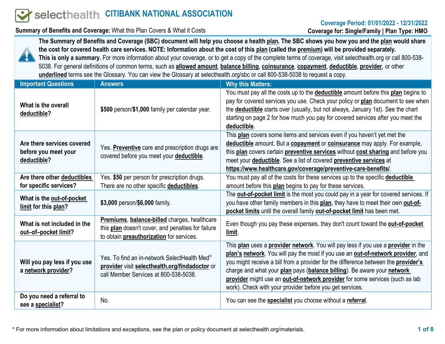# selecthealth. CITIBANK NATIONAL ASSOCIATION

#### Coverage Period: 01/01/2022 - 12/31/2022 Coverage for: Single/Family | Plan Type: HMO

Summary of Benefits and Coverage: What this Plan Covers & What it Costs



The Summary of Benefits and Coverage (SBC) document will help you choose a health plan. The SBC shows you how you and the plan would share the cost for covered health care services. NOTE: Information about the cost of this plan (called the premium) will be provided separately. This is only a summary. For more information about your coverage, or to get a copy of the complete terms of coverage, visit selecthealth.org or call 800-538-5038. For general definitions of common terms, such as allowed amount, balance billing, coinsurance, copayment, deductible, provider, or other underlined terms see the Glossary. You can view the Glossary at selecthealth.org/sbc or call 800-538-5038 to request a copy.

| <b>Important Questions</b>                                        | <b>Answers</b>                                                                                                                                        | <b>Why this Matters:</b>                                                                                                                                                                                                                                                                                                                                                                                                                                                           |
|-------------------------------------------------------------------|-------------------------------------------------------------------------------------------------------------------------------------------------------|------------------------------------------------------------------------------------------------------------------------------------------------------------------------------------------------------------------------------------------------------------------------------------------------------------------------------------------------------------------------------------------------------------------------------------------------------------------------------------|
| What is the overall<br>deductible?                                | \$500 person/\$1,000 family per calendar year.                                                                                                        | You must pay all the costs up to the <b>deductible</b> amount before this plan begins to<br>pay for covered services you use. Check your policy or plan document to see when<br>the <b>deductible</b> starts over (usually, but not always, January 1st). See the chart<br>starting on page 2 for how much you pay for covered services after you meet the<br>deductible.                                                                                                          |
| Are there services covered<br>before you meet your<br>deductible? | Yes. Preventive care and prescription drugs are<br>covered before you meet your deductible.                                                           | This plan covers some items and services even if you haven't yet met the<br>deductible amount. But a copayment or coinsurance may apply. For example,<br>this plan covers certain preventive services without cost sharing and before you<br>meet your <b>deductible</b> . See a list of covered <b>preventive services</b> at<br>https://www.healthcare.gov/coverage/preventive-care-benefits/.                                                                                   |
| Are there other deductibles<br>for specific services?             | Yes. \$50 per person for prescription drugs.<br>There are no other specific deductibles.                                                              | You must pay all of the costs for these services up to the specific deductible<br>amount before this plan begins to pay for these services.                                                                                                                                                                                                                                                                                                                                        |
| What is the out-of-pocket<br>limit for this plan?                 | \$3,000 person/\$6,000 family.                                                                                                                        | The <b>out-of-pocket limit</b> is the most you could pay in a year for covered services. If<br>you have other family members in this plan, they have to meet their own out-of-<br>pocket limits until the overall family out-of-pocket limit has been met.                                                                                                                                                                                                                         |
| What is not included in the<br>out-of-pocket limit?               | Premiums, balance-billed charges, healthcare<br>this plan doesn't cover, and penalties for failure<br>to obtain <b>preauthorization</b> for services. | Even though you pay these expenses, they don't count toward the <b>out-of-pocket</b><br>limit.                                                                                                                                                                                                                                                                                                                                                                                     |
| Will you pay less if you use<br>a network provider?               | Yes. To find an in-network SelectHealth Med <sup>®</sup><br>provider visit selecthealth.org/findadoctor or<br>call Member Services at 800-538-5038.   | This plan uses a provider network. You will pay less if you use a provider in the<br>plan's network. You will pay the most if you use an out-of-network provider, and<br>you might receive a bill from a provider for the difference between the provider's<br>charge and what your plan pays (balance billing). Be aware your network<br>provider might use an out-of-network provider for some services (such as lab<br>work). Check with your provider before you get services. |
| Do you need a referral to<br>see a specialist?                    | No.                                                                                                                                                   | You can see the <b>specialist</b> you choose without a referral.                                                                                                                                                                                                                                                                                                                                                                                                                   |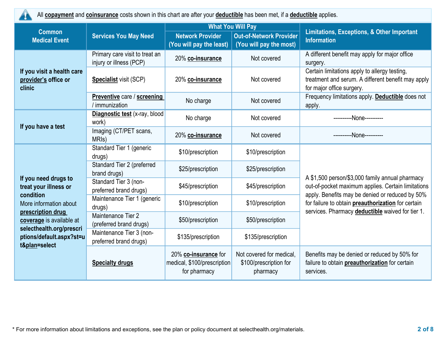

All **copayment** and **coinsurance** costs shown in this chart are after your **deductible** has been met, if a **deductible** applies.

|                                                                                                                                                  |                                                           | <b>What You Will Pay</b>                                            |                                                                |                                                                                                                                  |  |
|--------------------------------------------------------------------------------------------------------------------------------------------------|-----------------------------------------------------------|---------------------------------------------------------------------|----------------------------------------------------------------|----------------------------------------------------------------------------------------------------------------------------------|--|
| <b>Common</b><br><b>Medical Event</b>                                                                                                            | <b>Services You May Need</b>                              | <b>Network Provider</b><br>(You will pay the least)                 | <b>Out-of-Network Provider</b><br>(You will pay the most)      | <b>Limitations, Exceptions, &amp; Other Important</b><br><b>Information</b>                                                      |  |
|                                                                                                                                                  | Primary care visit to treat an<br>injury or illness (PCP) | 20% co-insurance                                                    | Not covered                                                    | A different benefit may apply for major office<br>surgery.                                                                       |  |
| If you visit a health care<br>provider's office or<br>clinic                                                                                     | <b>Specialist visit (SCP)</b>                             | 20% co-insurance                                                    | Not covered                                                    | Certain limitations apply to allergy testing,<br>treatment and serum. A different benefit may apply<br>for major office surgery. |  |
|                                                                                                                                                  | Preventive care / screening<br>/ immunization             | No charge                                                           | Not covered                                                    | Frequency limitations apply. Deductible does not<br>apply.                                                                       |  |
| If you have a test                                                                                                                               | Diagnostic test (x-ray, blood<br>work)                    | No charge                                                           | Not covered                                                    | ----------None----------                                                                                                         |  |
|                                                                                                                                                  | Imaging (CT/PET scans,<br>MRI <sub>s</sub> )              | 20% co-insurance                                                    | Not covered                                                    | ----------None----------                                                                                                         |  |
|                                                                                                                                                  | Standard Tier 1 (generic<br>drugs)                        | \$10/prescription                                                   | \$10/prescription                                              |                                                                                                                                  |  |
|                                                                                                                                                  | Standard Tier 2 (preferred<br>brand drugs)                | \$25/prescription                                                   | \$25/prescription                                              | A \$1,500 person/\$3,000 family annual pharmacy                                                                                  |  |
| If you need drugs to<br>treat your illness or<br>condition                                                                                       | Standard Tier 3 (non-<br>preferred brand drugs)           | \$45/prescription                                                   | \$45/prescription                                              | out-of-pocket maximum applies. Certain limitations<br>apply. Benefits may be denied or reduced by 50%                            |  |
| More information about<br>prescription drug<br>coverage is available at<br>selecthealth.org/prescri<br>ptions/default.aspx?st=u<br>t&plan=select | Maintenance Tier 1 (generic<br>drugs)                     | \$10/prescription                                                   | \$10/prescription                                              | for failure to obtain preauthorization for certain<br>services. Pharmacy deductible waived for tier 1.                           |  |
|                                                                                                                                                  | Maintenance Tier 2<br>(preferred brand drugs)             | \$50/prescription                                                   | \$50/prescription                                              |                                                                                                                                  |  |
|                                                                                                                                                  | Maintenance Tier 3 (non-<br>preferred brand drugs)        | \$135/prescription                                                  | \$135/prescription                                             |                                                                                                                                  |  |
|                                                                                                                                                  | <b>Specialty drugs</b>                                    | 20% co-insurance for<br>medical, \$100/prescription<br>for pharmacy | Not covered for medical,<br>\$100/prescription for<br>pharmacy | Benefits may be denied or reduced by 50% for<br>failure to obtain preauthorization for certain<br>services.                      |  |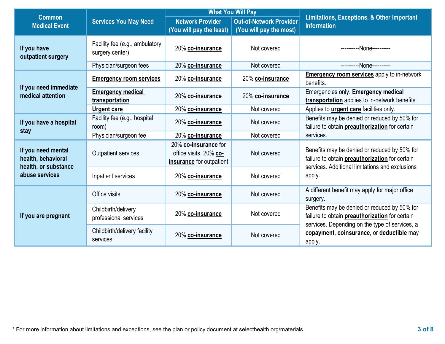|                                                                                    |                                                   | <b>What You Will Pay</b>                                                   |                                                           |                                                                                                                                                   |  |
|------------------------------------------------------------------------------------|---------------------------------------------------|----------------------------------------------------------------------------|-----------------------------------------------------------|---------------------------------------------------------------------------------------------------------------------------------------------------|--|
| <b>Common</b><br><b>Medical Event</b>                                              | <b>Services You May Need</b>                      | <b>Network Provider</b><br>(You will pay the least)                        | <b>Out-of-Network Provider</b><br>(You will pay the most) | <b>Limitations, Exceptions, &amp; Other Important</b><br><b>Information</b>                                                                       |  |
| If you have<br>outpatient surgery                                                  | Facility fee (e.g., ambulatory<br>surgery center) | 20% co-insurance                                                           | Not covered                                               | --None----------                                                                                                                                  |  |
|                                                                                    | Physician/surgeon fees                            | 20% co-insurance                                                           | Not covered                                               | ----------None----------                                                                                                                          |  |
| If you need immediate                                                              | <b>Emergency room services</b>                    | 20% co-insurance                                                           | 20% co-insurance                                          | <b>Emergency room services</b> apply to in-network<br>benefits.                                                                                   |  |
| medical attention                                                                  | <b>Emergency medical</b><br>transportation        | 20% co-insurance                                                           | 20% co-insurance                                          | Emergencies only. <b>Emergency medical</b><br>transportation applies to in-network benefits.                                                      |  |
|                                                                                    | <b>Urgent care</b>                                | 20% co-insurance                                                           | Not covered                                               | Applies to <i>urgent care</i> facilities only.                                                                                                    |  |
| If you have a hospital<br>stay                                                     | Facility fee (e.g., hospital<br>room)             | 20% co-insurance                                                           | Not covered                                               | Benefits may be denied or reduced by 50% for<br>failure to obtain <b>preauthorization</b> for certain                                             |  |
|                                                                                    | Physician/surgeon fee                             | 20% co-insurance                                                           | Not covered                                               | services.                                                                                                                                         |  |
| If you need mental<br>health, behavioral<br>health, or substance<br>abuse services | <b>Outpatient services</b>                        | 20% co-insurance for<br>office visits, 20% co-<br>insurance for outpatient | Not covered                                               | Benefits may be denied or reduced by 50% for<br>failure to obtain preauthorization for certain<br>services. Additional limitations and exclusions |  |
|                                                                                    | Inpatient services                                | 20% co-insurance                                                           | Not covered                                               | apply.                                                                                                                                            |  |
|                                                                                    | Office visits                                     | 20% co-insurance                                                           | Not covered                                               | A different benefit may apply for major office<br>surgery.                                                                                        |  |
| If you are pregnant                                                                | Childbirth/delivery<br>professional services      | 20% co-insurance                                                           | Not covered                                               | Benefits may be denied or reduced by 50% for<br>failure to obtain preauthorization for certain<br>services. Depending on the type of services, a  |  |
|                                                                                    | Childbirth/delivery facility<br>services          | 20% co-insurance                                                           | Not covered                                               | copayment, coinsurance, or deductible may<br>apply.                                                                                               |  |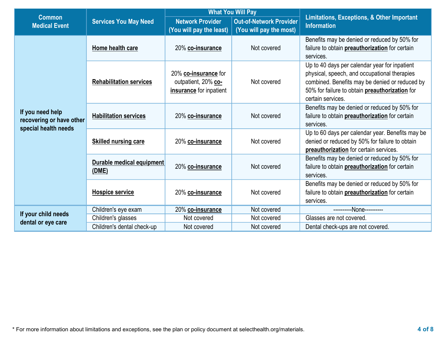|                                                                      |                                    |                                                                        | <b>What You Will Pay</b>                                  |                                                                                                                                                                                                                        |  |
|----------------------------------------------------------------------|------------------------------------|------------------------------------------------------------------------|-----------------------------------------------------------|------------------------------------------------------------------------------------------------------------------------------------------------------------------------------------------------------------------------|--|
| <b>Common</b><br><b>Medical Event</b>                                | <b>Services You May Need</b>       | <b>Network Provider</b><br>(You will pay the least)                    | <b>Out-of-Network Provider</b><br>(You will pay the most) | <b>Limitations, Exceptions, &amp; Other Important</b><br><b>Information</b>                                                                                                                                            |  |
|                                                                      | Home health care                   | 20% co-insurance                                                       | Not covered                                               | Benefits may be denied or reduced by 50% for<br>failure to obtain preauthorization for certain<br>services.                                                                                                            |  |
|                                                                      | <b>Rehabilitation services</b>     | 20% co-insurance for<br>outpatient, 20% co-<br>insurance for inpatient | Not covered                                               | Up to 40 days per calendar year for inpatient<br>physical, speech, and occupational therapies<br>combined. Benefits may be denied or reduced by<br>50% for failure to obtain preauthorization for<br>certain services. |  |
| If you need help<br>recovering or have other<br>special health needs | <b>Habilitation services</b>       | 20% co-insurance                                                       | Not covered                                               | Benefits may be denied or reduced by 50% for<br>failure to obtain preauthorization for certain<br>services.                                                                                                            |  |
|                                                                      | <b>Skilled nursing care</b>        | 20% co-insurance                                                       | Not covered                                               | Up to 60 days per calendar year. Benefits may be<br>denied or reduced by 50% for failure to obtain<br>preauthorization for certain services.                                                                           |  |
|                                                                      | Durable medical equipment<br>(DME) | 20% co-insurance                                                       | Not covered                                               | Benefits may be denied or reduced by 50% for<br>failure to obtain <b>preauthorization</b> for certain<br>services.                                                                                                     |  |
|                                                                      | <b>Hospice service</b>             | 20% co-insurance                                                       | Not covered                                               | Benefits may be denied or reduced by 50% for<br>failure to obtain preauthorization for certain<br>services.                                                                                                            |  |
|                                                                      | Children's eye exam                | 20% co-insurance                                                       | Not covered                                               | ----------None----------                                                                                                                                                                                               |  |
| If your child needs                                                  | Children's glasses                 | Not covered                                                            | Not covered                                               | Glasses are not covered.                                                                                                                                                                                               |  |
| dental or eye care                                                   | Children's dental check-up         | Not covered                                                            | Not covered                                               | Dental check-ups are not covered.                                                                                                                                                                                      |  |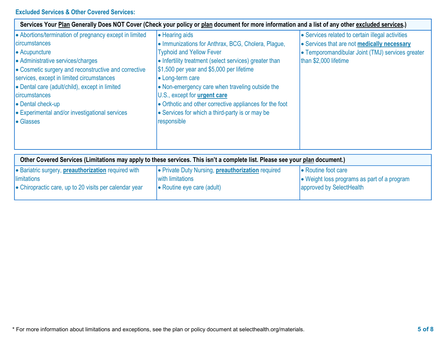# Excluded Services & Other Covered Services:

| Services Your Plan Generally Does NOT Cover (Check your policy or plan document for more information and a list of any other excluded services.)                                                                                                                                                                                                                                                                     |                                                                                                                                                                                                                                                                                                                                                                                                                                                                      |                                                                                                                                                                              |  |  |
|----------------------------------------------------------------------------------------------------------------------------------------------------------------------------------------------------------------------------------------------------------------------------------------------------------------------------------------------------------------------------------------------------------------------|----------------------------------------------------------------------------------------------------------------------------------------------------------------------------------------------------------------------------------------------------------------------------------------------------------------------------------------------------------------------------------------------------------------------------------------------------------------------|------------------------------------------------------------------------------------------------------------------------------------------------------------------------------|--|--|
| • Abortions/termination of pregnancy except in limited<br><b>I</b> circumstances<br>$\bullet$ Acupuncture<br>• Administrative services/charges<br>• Cosmetic surgery and reconstructive and corrective<br>services, except in limited circumstances<br>• Dental care (adult/child), except in limited<br>circumstances<br><b>•</b> Dental check-up<br><b>Experimental and/or investigational services</b><br>Glasses | <b>-</b> Hearing aids<br>• Immunizations for Anthrax, BCG, Cholera, Plague,<br><b>Typhoid and Yellow Fever</b><br>• Infertility treatment (select services) greater than<br>$\frac{1}{3}$ ,500 per year and \$5,000 per lifetime<br>• Long-term care<br>• Non-emergency care when traveling outside the<br>U.S., except for urgent care<br>• Orthotic and other corrective appliances for the foot<br>• Services for which a third-party is or may be<br>responsible | • Services related to certain illegal activities<br>• Services that are not medically necessary<br>• Temporomandibular Joint (TMJ) services greater<br>than \$2,000 lifetime |  |  |

| Other Covered Services (Limitations may apply to these services. This isn't a complete list. Please see your plan document.) |                                                          |                                             |  |  |
|------------------------------------------------------------------------------------------------------------------------------|----------------------------------------------------------|---------------------------------------------|--|--|
| <b>Bariatric surgery, preauthorization required with</b>                                                                     | • Private Duty Nursing, <b>preauthorization</b> required | • Routine foot care                         |  |  |
| <i><u><b>Ilimitations</b></u></i>                                                                                            | lwith limitations                                        | • Weight loss programs as part of a program |  |  |
| $\bullet$ Chiropractic care, up to 20 visits per calendar year                                                               | $\bullet$ Routine eye care (adult)                       | approved by SelectHealth                    |  |  |
|                                                                                                                              |                                                          |                                             |  |  |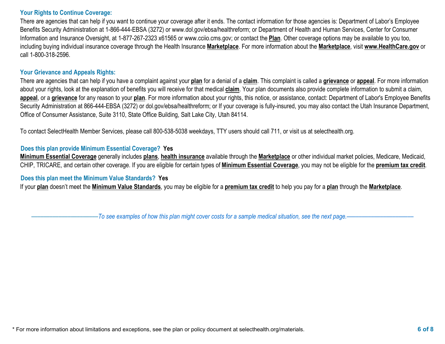#### Your Rights to Continue Coverage:

There are agencies that can help if you want to continue your coverage after it ends. The contact information for those agencies is: Department of Labor's Employee Benefits Security Administration at 1-866-444-EBSA (3272) or www.dol.gov/ebsa/healthreform; or Department of Health and Human Services, Center for Consumer Information and Insurance Oversight, at 1-877-267-2323 x61565 or www.cciio.cms.gov; or contact the Plan. Other coverage options may be available to you too, including buying individual insurance coverage through the Health Insurance Marketplace. For more information about the Marketplace, visit www.HealthCare.gov or call 1-800-318-2596.

#### Your Grievance and Appeals Rights:

There are agencies that can help if you have a complaint against your plan for a denial of a claim. This complaint is called a grievance or appeal. For more information about your rights, look at the explanation of benefits you will receive for that medical claim. Your plan documents also provide complete information to submit a claim, appeal, or a grievance for any reason to your plan. For more information about your rights, this notice, or assistance, contact: Department of Labor's Employee Benefits Security Administration at 866-444-EBSA (3272) or dol.gov/ebsa/healthreform; or If your coverage is fully-insured, you may also contact the Utah Insurance Department, Office of Consumer Assistance, Suite 3110, State Office Building, Salt Lake City, Utah 84114.

To contact SelectHealth Member Services, please call 800-538-5038 weekdays, TTY users should call 711, or visit us at selecthealth.org.

#### Does this plan provide Minimum Essential Coverage? Yes

Minimum Essential Coverage generally includes plans, health insurance available through the Marketplace or other individual market policies, Medicare, Medicaid, CHIP, TRICARE, and certain other coverage. If you are eligible for certain types of **Minimum Essential Coverage**, you may not be eligible for the **premium tax credit**.

#### Does this plan meet the Minimum Value Standards? Yes

If your plan doesn't meet the Minimum Value Standards, you may be eligible for a premium tax credit to help you pay for a plan through the Marketplace.

–To see examples of how this plan might cover costs for a sample medical situation, see the next page.–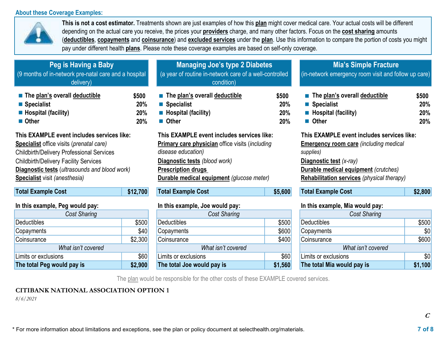#### About these Coverage Examples:



This is not a cost estimator. Treatments shown are just examples of how this plan might cover medical care. Your actual costs will be different depending on the actual care you receive, the prices your **providers** charge, and many other factors. Focus on the **cost sharing** amounts (deductibles, copayments and coinsurance) and excluded services under the plan. Use this information to compare the portion of costs you might pay under different health plans. Please note these coverage examples are based on self-only coverage.

| Peg is Having a Baby<br>(9 months of in-network pre-natal care and a hospital<br>delivery) |          | <b>Managing Joe's type 2 Diabetes</b><br>(a year of routine in-network care of a well-controlled<br>condition) |         | <b>Mia's Simple Fracture</b><br>(in-network emergency room visit and follow up care) |         |
|--------------------------------------------------------------------------------------------|----------|----------------------------------------------------------------------------------------------------------------|---------|--------------------------------------------------------------------------------------|---------|
| The plan's overall deductible                                                              | \$500    | $\blacksquare$ The plan's overall deductible                                                                   | \$500   | $\blacksquare$ The plan's overall deductible                                         | \$500   |
| $\blacksquare$ Specialist                                                                  | 20%      | ■ Specialist                                                                                                   | 20%     | ■ Specialist                                                                         | 20%     |
| $\blacksquare$ Hospital (facility)                                                         | 20%      | $\blacksquare$ Hospital (facility)                                                                             | 20%     | $\blacksquare$ Hospital (facility)                                                   | 20%     |
| ■ Other                                                                                    | 20%      | <b>Other</b>                                                                                                   | 20%     | ■ Other                                                                              | 20%     |
| This EXAMPLE event includes services like:                                                 |          | This EXAMPLE event includes services like:                                                                     |         | This EXAMPLE event includes services like:                                           |         |
| <b>Specialist</b> office visits ( <i>prenatal care</i> )                                   |          | <b>Primary care physician office visits (including</b>                                                         |         | <b>Emergency room care (including medical</b>                                        |         |
| <b>Childbirth/Delivery Professional Services</b>                                           |          | disease education)<br>supplies)                                                                                |         |                                                                                      |         |
| <b>Childbirth/Delivery Facility Services</b>                                               |          | Diagnostic tests (blood work)                                                                                  |         | Diagnostic test (x-ray)                                                              |         |
| <b>Diagnostic tests</b> (ultrasounds and blood work)                                       |          | <b>Prescription drugs</b>                                                                                      |         | <b>Durable medical equipment</b> (crutches)                                          |         |
| <b>Specialist</b> visit (anesthesia)                                                       |          | <b>Durable medical equipment</b> (glucose meter)                                                               |         | <b>Rehabilitation services</b> (physical therapy)                                    |         |
| <b>Total Example Cost</b>                                                                  | \$12,700 | <b>Total Example Cost</b>                                                                                      | \$5,600 | <b>Total Example Cost</b>                                                            | \$2,800 |

| <b>III GIIO CAUTIPIC, I CY NOUIU PUY.</b> |         |  |  |  |
|-------------------------------------------|---------|--|--|--|
| <b>Cost Sharing</b>                       |         |  |  |  |
| <b>Deductibles</b>                        | \$500   |  |  |  |
| Copayments                                | \$40    |  |  |  |
| Coinsurance                               | \$2,300 |  |  |  |
| What isn't covered                        |         |  |  |  |
| Limits or exclusions                      | \$60    |  |  |  |
| The total Peg would pay is                | \$2,900 |  |  |  |

| $\cdots$ $\cdots$ $\cdots$ $\cdots$ $\cdots$ $\cdots$ $\cdots$ $\cdots$ $\cdots$ $\cdots$ $\cdots$ |         | $111$ and one inpier you hours pay. |         | $111$ and one inpier matrix to every pay. |         |
|----------------------------------------------------------------------------------------------------|---------|-------------------------------------|---------|-------------------------------------------|---------|
| Cost Sharing                                                                                       |         | Cost Sharing                        |         | Cost Sharing                              |         |
| Deductibles                                                                                        | \$500   | <b>Deductibles</b>                  | \$500   | Deductibles                               | \$500   |
| Copayments                                                                                         | \$40    | Copayments                          | \$600   | Copayments                                | \$0     |
| Coinsurance                                                                                        | \$2,300 | Coinsurance                         | \$400   | Coinsurance                               | \$600   |
| What isn't covered                                                                                 |         | What isn't covered                  |         | What isn't covered                        |         |
| Limits or exclusions                                                                               | \$60    | Limits or exclusions                | \$60    | Limits or exclusions                      | \$0     |
| The total Peg would pay is                                                                         | \$2,900 | The total Joe would pay is          | \$1,560 | The total Mia would pay is                | \$1,100 |

#### In this example, Peg would pay: In this example, Joe would pay: In this example, Mia would pay:

| <b>Cost Sharing</b>        |         |  |  |
|----------------------------|---------|--|--|
| <b>Deductibles</b>         | \$500   |  |  |
| Copayments                 | \$0     |  |  |
| Coinsurance                | \$600   |  |  |
| What isn't covered         |         |  |  |
| Limits or exclusions       | \$0     |  |  |
| The total Mia would pay is | \$1,100 |  |  |

The plan would be responsible for the other costs of these EXAMPLE covered services.

# CITIBANK NATIONAL ASSOCIATION OPTION 1

8/6/2021

\* For more information about limitations and exceptions, see the plan or policy document at selecthealth.org/materials. **7 of 8** 7 **7**